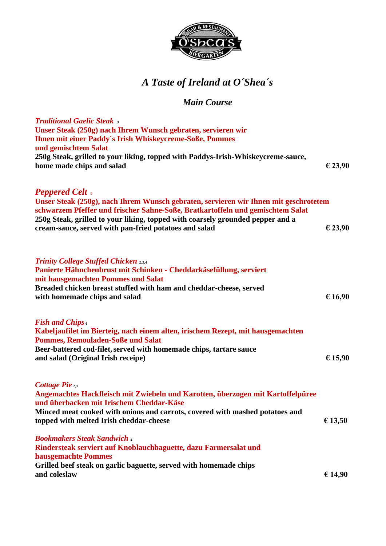

## *A Taste of Ireland at O´Shea´s*

#### *Main Course*

| <b>Traditional Gaelic Steak</b> $\circ$<br>Unser Steak (250g) nach Ihrem Wunsch gebraten, servieren wir<br><b>Ihnen mit einer Paddy's Irish Whiskeycreme-Soße, Pommes</b>                                                                                                                                                                   |         |
|---------------------------------------------------------------------------------------------------------------------------------------------------------------------------------------------------------------------------------------------------------------------------------------------------------------------------------------------|---------|
| und gemischtem Salat<br>250g Steak, grilled to your liking, topped with Paddys-Irish-Whiskeycreme-sauce,<br>home made chips and salad                                                                                                                                                                                                       | € 23,90 |
| <b>Peppered Celt</b> ,<br>Unser Steak (250g), nach Ihrem Wunsch gebraten, servieren wir Ihnen mit geschrotetem<br>schwarzem Pfeffer und frischer Sahne-Soße, Bratkartoffeln und gemischtem Salat<br>250g Steak, grilled to your liking, topped with coarsely grounded pepper and a<br>cream-sauce, served with pan-fried potatoes and salad | € 23,90 |
| <b>Trinity College Stuffed Chicken 2,3,4</b><br>Panierte Hähnchenbrust mit Schinken - Cheddarkäsefüllung, serviert<br>mit hausgemachten Pommes und Salat<br>Breaded chicken breast stuffed with ham and cheddar-cheese, served<br>with homemade chips and salad                                                                             | € 16,90 |
| <b>Fish and Chips</b> 4<br>Kabeljaufilet im Bierteig, nach einem alten, irischem Rezept, mit hausgemachten<br><b>Pommes, Remouladen-Soße und Salat</b><br>Beer-battered cod-filet, served with homemade chips, tartare sauce<br>and salad (Original Irish receipe)                                                                          | € 15,90 |
| Cottage Pie 2,9<br>Angemachtes Hackfleisch mit Zwiebeln und Karotten, überzogen mit Kartoffelpüree<br>und überbacken mit Irischem Cheddar-Käse<br>Minced meat cooked with onions and carrots, covered with mashed potatoes and<br>topped with melted Irish cheddar-cheese                                                                   | € 13,50 |
| <b>Bookmakers Steak Sandwich 4</b><br>Rindersteak serviert auf Knoblauchbaguette, dazu Farmersalat und<br>hausgemachte Pommes<br>Grilled beef steak on garlic baguette, served with homemade chips<br>and coleslaw                                                                                                                          | € 14,90 |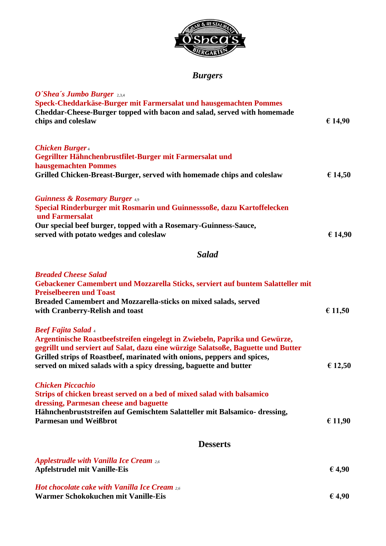

### *Burgers*

| O'Shea's Jumbo Burger 2,3,4<br>Speck-Cheddarkäse-Burger mit Farmersalat und hausgemachten Pommes<br>Cheddar-Cheese-Burger topped with bacon and salad, served with homemade<br>chips and coleslaw                                                                                                                                              | € 14,90 |
|------------------------------------------------------------------------------------------------------------------------------------------------------------------------------------------------------------------------------------------------------------------------------------------------------------------------------------------------|---------|
| <b>Chicken Burger</b> 4<br>Gegrillter Hähnchenbrustfilet-Burger mit Farmersalat und                                                                                                                                                                                                                                                            |         |
| hausgemachten Pommes<br>Grilled Chicken-Breast-Burger, served with homemade chips and coleslaw                                                                                                                                                                                                                                                 | € 14,50 |
|                                                                                                                                                                                                                                                                                                                                                |         |
| <b>Guinness &amp; Rosemary Burger 4.9</b><br>Special Rinderburger mit Rosmarin und Guinnesssoße, dazu Kartoffelecken<br>und Farmersalat                                                                                                                                                                                                        |         |
| Our special beef burger, topped with a Rosemary-Guinness-Sauce,<br>served with potato wedges and coleslaw                                                                                                                                                                                                                                      | € 14,90 |
| <b>Salad</b>                                                                                                                                                                                                                                                                                                                                   |         |
| <b>Breaded Cheese Salad</b><br>Gebackener Camembert und Mozzarella Sticks, serviert auf buntem Salatteller mit<br><b>Preiselbeeren und Toast</b>                                                                                                                                                                                               |         |
| Breaded Camembert and Mozzarella-sticks on mixed salads, served<br>with Cranberry-Relish and toast                                                                                                                                                                                                                                             | € 11,50 |
| <b>Beef Fajita Salad</b> 4<br>Argentinische Roastbeefstreifen eingelegt in Zwiebeln, Paprika und Gewürze,<br>gegrillt und serviert auf Salat, dazu eine würzige Salatsoße, Baguette und Butter<br>Grilled strips of Roastbeef, marinated with onions, peppers and spices,<br>served on mixed salads with a spicy dressing, baguette and butter | € 12,50 |
| <b>Chicken Piccachio</b><br>Strips of chicken breast served on a bed of mixed salad with balsamico<br>dressing, Parmesan cheese and baguette<br>Hähnchenbruststreifen auf Gemischtem Salatteller mit Balsamico- dressing,                                                                                                                      |         |
| <b>Parmesan und Weißbrot</b>                                                                                                                                                                                                                                                                                                                   | € 11,90 |
| <b>Desserts</b>                                                                                                                                                                                                                                                                                                                                |         |
| <b>Applestrudle with Vanilla Ice Cream 2.6</b><br><b>Apfelstrudel mit Vanille-Eis</b>                                                                                                                                                                                                                                                          | € 4,90  |
| <b>Hot chocolate cake with Vanilla Ice Cream 2.6</b><br>Warmer Schokokuchen mit Vanille-Eis                                                                                                                                                                                                                                                    | € 4,90  |